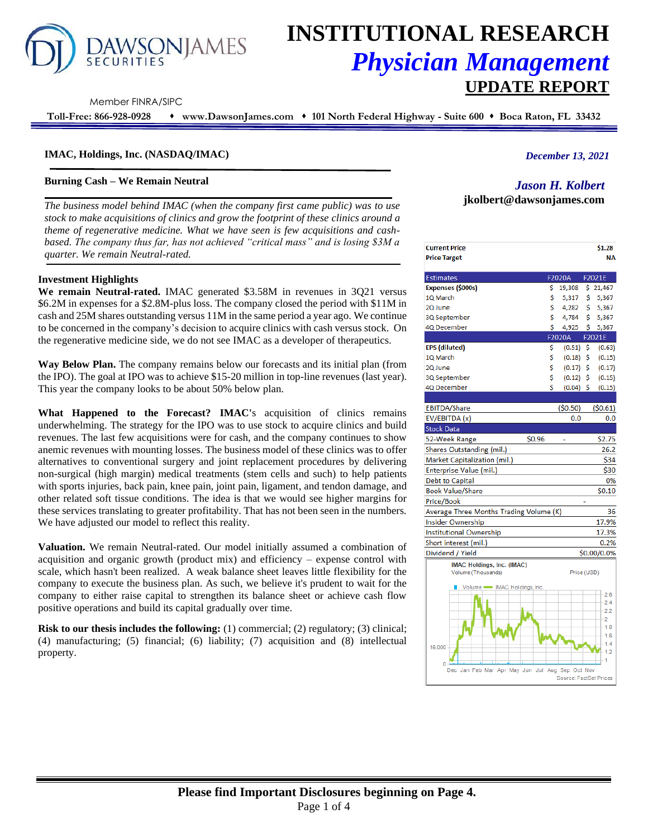# **AWSONJAMES**

# **INSTITUTIONAL RESEARCH** *Physician Management* **UPDATE REPORT**

Member FINRA/SIPC

**Toll-Free: 866-928-0928** ⬧ **www.DawsonJames.com** ⬧ **101 North Federal Highway - Suite 600** ⬧ **Boca Raton, FL 33432**

# **IMAC, Holdings, Inc. (NASDAQ/IMAC)**

### **Burning Cash – We Remain Neutral**

*The business model behind IMAC (when the company first came public) was to use stock to make acquisitions of clinics and grow the footprint of these clinics around a theme of regenerative medicine. What we have seen is few acquisitions and cashbased. The company thus far, has not achieved "critical mass" and is losing \$3M a quarter. We remain Neutral-rated.*

#### **Investment Highlights**

**We remain Neutral-rated.** IMAC generated \$3.58M in revenues in 3Q21 versus \$6.2M in expenses for a \$2.8M-plus loss. The company closed the period with \$11M in cash and 25M shares outstanding versus 11M in the same period a year ago. We continue to be concerned in the company's decision to acquire clinics with cash versus stock. On the regenerative medicine side, we do not see IMAC as a developer of therapeutics.

**Way Below Plan.** The company remains below our forecasts and its initial plan (from the IPO). The goal at IPO was to achieve \$15-20 million in top-line revenues (last year). This year the company looks to be about 50% below plan.

**What Happened to the Forecast? IMAC'**s acquisition of clinics remains underwhelming. The strategy for the IPO was to use stock to acquire clinics and build revenues. The last few acquisitions were for cash, and the company continues to show anemic revenues with mounting losses. The business model of these clinics was to offer alternatives to conventional surgery and joint replacement procedures by delivering non-surgical (high margin) medical treatments (stem cells and such) to help patients with sports injuries, back pain, knee pain, joint pain, ligament, and tendon damage, and other related soft tissue conditions. The idea is that we would see higher margins for these services translating to greater profitability. That has not been seen in the numbers. We have adjusted our model to reflect this reality.

**Valuation.** We remain Neutral-rated. Our model initially assumed a combination of acquisition and organic growth (product mix) and efficiency – expense control with scale, which hasn't been realized. A weak balance sheet leaves little flexibility for the company to execute the business plan. As such, we believe it's prudent to wait for the company to either raise capital to strengthen its balance sheet or achieve cash flow positive operations and build its capital gradually over time.

**Risk to our thesis includes the following:** (1) commercial; (2) regulatory; (3) clinical; (4) manufacturing; (5) financial; (6) liability; (7) acquisition and (8) intellectual property.

# *December 13, 2021*

# *Jason H. Kolbert*

**jkolbert@dawsonjames.com**

| <b>Current Price</b><br><b>Price Target</b>          |                        |     | \$1.28<br><b>NA</b> |
|------------------------------------------------------|------------------------|-----|---------------------|
| <b>Estimates</b>                                     | F2020A                 |     | F2021E              |
| Expenses (\$000s)                                    | \$<br>19,308           |     | \$21,467            |
| 1Q March                                             | \$<br>5,317            | \$  | 5,367               |
| 2Q June                                              | \$<br>4,282            | \$  | 5,367               |
| 3Q September                                         | \$<br>4,784            | \$  | 5,367               |
| 4Q December                                          | \$<br>4,925            | \$  | 5,367               |
|                                                      | <b>F2020A</b>          |     | F2021E              |
| EPS (diluted)                                        | \$<br>(0.51)           | -S  | (0.63)              |
| 1Q March                                             | \$<br>(0.18)           | -\$ | (0.15)              |
| 2Q June                                              | \$<br>(0.17)           | -\$ | (0.17)              |
| 3Q September                                         | \$<br>$(0.12)$ \$      |     | (0.15)              |
| 4Q December                                          | \$<br>$(0.04)$ \$      |     | (0.15)              |
|                                                      |                        |     |                     |
| EBITDA/Share                                         | (50.50)                |     | (50.61)             |
| EV/EBITDA (x)                                        | 0.0                    |     | 0.0                 |
| Stock Data                                           |                        |     |                     |
| \$0.96<br>52-Week Range                              |                        |     | \$2.75              |
| Shares Outstanding (mil.)                            |                        |     | 26.2                |
| Market Capitalization (mil.)                         |                        |     | \$34                |
| Enterprise Value (mil.)                              |                        |     | \$30                |
| Debt to Capital                                      |                        |     | 0%                  |
| Book Value/Share                                     |                        |     | \$0.10              |
| Price/Book                                           |                        |     |                     |
| Average Three Months Trading Volume (K)              |                        |     | 36                  |
| Insider Ownership                                    |                        |     | 17.9%               |
| Institutional Ownership                              |                        |     | 17.3%               |
| Short interest (mil.)                                |                        |     | 0.2%                |
| Dividend / Yield                                     |                        |     | \$0.00/0.0%         |
| IMAC Holdings, Inc. (IMAC)<br>Volume (Thousands)     | Price (USD)            |     |                     |
| - IMAC Holdings, Inc.<br>Volume ·                    |                        |     |                     |
|                                                      |                        |     | 2.6                 |
|                                                      |                        |     | 2.4<br>2.2          |
|                                                      |                        |     | 2                   |
|                                                      |                        |     | 1.8                 |
|                                                      |                        |     | 1.6                 |
| 16,000                                               |                        |     | 1.4<br>1.2          |
|                                                      |                        |     |                     |
| n<br>Dec Jan Feb Mar Apr May Jun Jul Aug Sep Oct Nov |                        |     |                     |
|                                                      | Source: FactSet Prices |     |                     |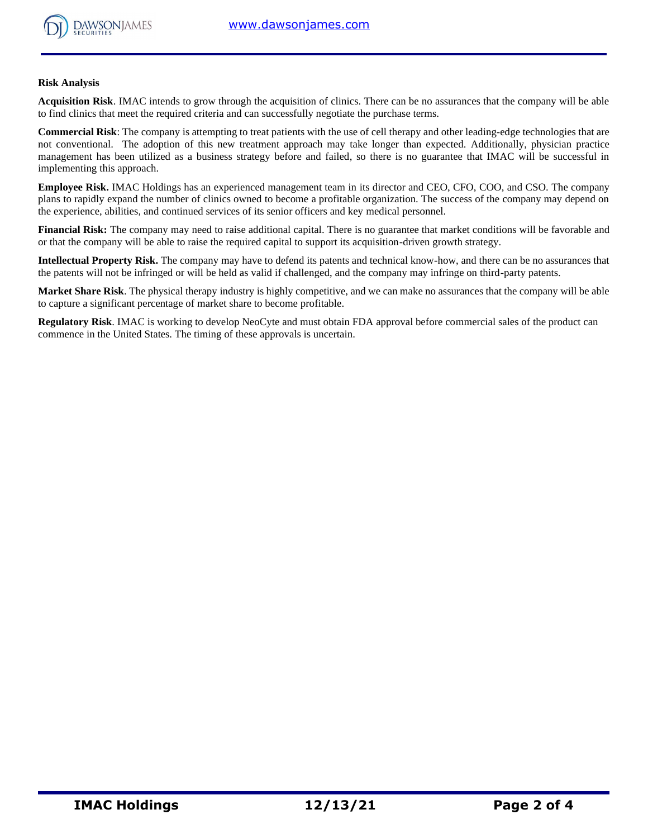

#### **Risk Analysis**

**Acquisition Risk**. IMAC intends to grow through the acquisition of clinics. There can be no assurances that the company will be able to find clinics that meet the required criteria and can successfully negotiate the purchase terms.

**Commercial Risk**: The company is attempting to treat patients with the use of cell therapy and other leading-edge technologies that are not conventional. The adoption of this new treatment approach may take longer than expected. Additionally, physician practice management has been utilized as a business strategy before and failed, so there is no guarantee that IMAC will be successful in implementing this approach.

**Employee Risk.** IMAC Holdings has an experienced management team in its director and CEO, CFO, COO, and CSO. The company plans to rapidly expand the number of clinics owned to become a profitable organization. The success of the company may depend on the experience, abilities, and continued services of its senior officers and key medical personnel.

**Financial Risk:** The company may need to raise additional capital. There is no guarantee that market conditions will be favorable and or that the company will be able to raise the required capital to support its acquisition-driven growth strategy.

**Intellectual Property Risk.** The company may have to defend its patents and technical know-how, and there can be no assurances that the patents will not be infringed or will be held as valid if challenged, and the company may infringe on third-party patents.

**Market Share Risk**. The physical therapy industry is highly competitive, and we can make no assurances that the company will be able to capture a significant percentage of market share to become profitable.

**Regulatory Risk**. IMAC is working to develop NeoCyte and must obtain FDA approval before commercial sales of the product can commence in the United States. The timing of these approvals is uncertain.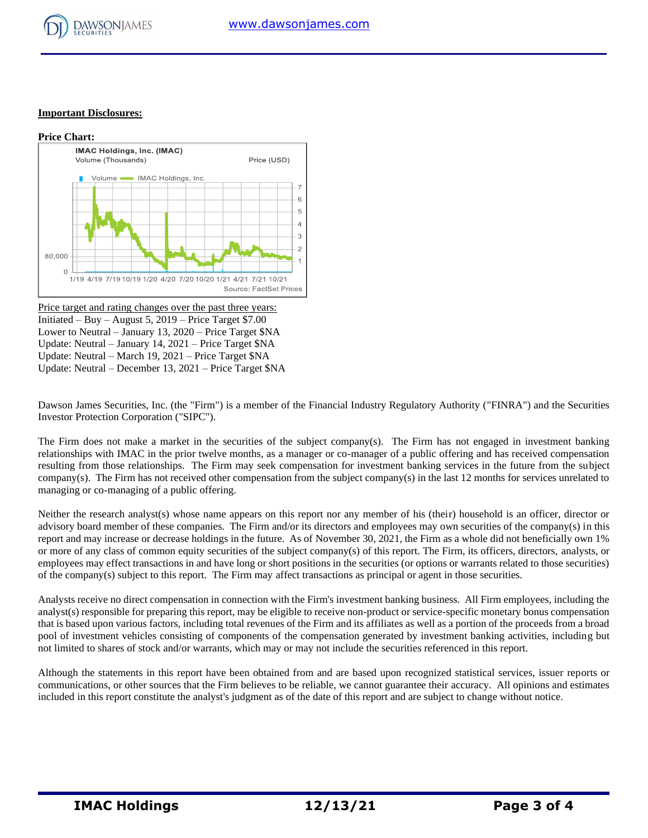

#### **Important Disclosures:**



Price target and rating changes over the past three years: Initiated – Buy – August 5,  $2019$  – Price Target \$7.00 Lower to Neutral – January 13, 2020 – Price Target \$NA Update: Neutral – January 14, 2021 – Price Target \$NA Update: Neutral – March 19, 2021 – Price Target \$NA Update: Neutral – December 13, 2021 – Price Target \$NA

Dawson James Securities, Inc. (the "Firm") is a member of the Financial Industry Regulatory Authority ("FINRA") and the Securities Investor Protection Corporation ("SIPC").

The Firm does not make a market in the securities of the subject company(s). The Firm has not engaged in investment banking relationships with IMAC in the prior twelve months, as a manager or co-manager of a public offering and has received compensation resulting from those relationships. The Firm may seek compensation for investment banking services in the future from the subject company(s). The Firm has not received other compensation from the subject company(s) in the last 12 months for services unrelated to managing or co-managing of a public offering.

Neither the research analyst(s) whose name appears on this report nor any member of his (their) household is an officer, director or advisory board member of these companies. The Firm and/or its directors and employees may own securities of the company(s) in this report and may increase or decrease holdings in the future. As of November 30, 2021, the Firm as a whole did not beneficially own 1% or more of any class of common equity securities of the subject company(s) of this report. The Firm, its officers, directors, analysts, or employees may effect transactions in and have long or short positions in the securities (or options or warrants related to those securities) of the company(s) subject to this report. The Firm may affect transactions as principal or agent in those securities.

Analysts receive no direct compensation in connection with the Firm's investment banking business. All Firm employees, including the analyst(s) responsible for preparing this report, may be eligible to receive non-product or service-specific monetary bonus compensation that is based upon various factors, including total revenues of the Firm and its affiliates as well as a portion of the proceeds from a broad pool of investment vehicles consisting of components of the compensation generated by investment banking activities, including but not limited to shares of stock and/or warrants, which may or may not include the securities referenced in this report.

Although the statements in this report have been obtained from and are based upon recognized statistical services, issuer reports or communications, or other sources that the Firm believes to be reliable, we cannot guarantee their accuracy. All opinions and estimates included in this report constitute the analyst's judgment as of the date of this report and are subject to change without notice.